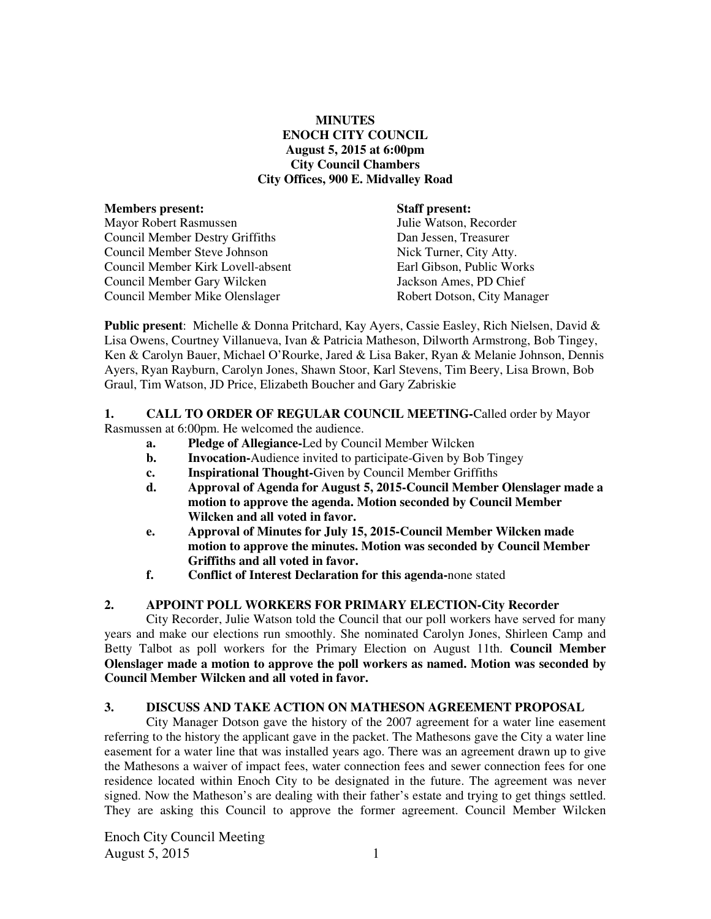### **MINUTES ENOCH CITY COUNCIL August 5, 2015 at 6:00pm City Council Chambers City Offices, 900 E. Midvalley Road**

| <b>Staff present:</b>       |
|-----------------------------|
| Julie Watson, Recorder      |
| Dan Jessen, Treasurer       |
| Nick Turner, City Atty.     |
| Earl Gibson, Public Works   |
| Jackson Ames, PD Chief      |
| Robert Dotson, City Manager |
|                             |

**Public present**: Michelle & Donna Pritchard, Kay Ayers, Cassie Easley, Rich Nielsen, David & Lisa Owens, Courtney Villanueva, Ivan & Patricia Matheson, Dilworth Armstrong, Bob Tingey, Ken & Carolyn Bauer, Michael O'Rourke, Jared & Lisa Baker, Ryan & Melanie Johnson, Dennis Ayers, Ryan Rayburn, Carolyn Jones, Shawn Stoor, Karl Stevens, Tim Beery, Lisa Brown, Bob Graul, Tim Watson, JD Price, Elizabeth Boucher and Gary Zabriskie

## **1. CALL TO ORDER OF REGULAR COUNCIL MEETING-**Called order by Mayor

Rasmussen at 6:00pm. He welcomed the audience.

- **a. Pledge of Allegiance-**Led by Council Member Wilcken
- **b.** Invocation-Audience invited to participate-Given by Bob Tingey
- **c. Inspirational Thought-**Given by Council Member Griffiths
- **d. Approval of Agenda for August 5, 2015-Council Member Olenslager made a motion to approve the agenda. Motion seconded by Council Member Wilcken and all voted in favor.**
- **e. Approval of Minutes for July 15, 2015-Council Member Wilcken made motion to approve the minutes. Motion was seconded by Council Member Griffiths and all voted in favor.**
- **f. Conflict of Interest Declaration for this agenda-**none stated

#### **2. APPOINT POLL WORKERS FOR PRIMARY ELECTION-City Recorder**

City Recorder, Julie Watson told the Council that our poll workers have served for many years and make our elections run smoothly. She nominated Carolyn Jones, Shirleen Camp and Betty Talbot as poll workers for the Primary Election on August 11th. **Council Member Olenslager made a motion to approve the poll workers as named. Motion was seconded by Council Member Wilcken and all voted in favor.** 

#### **3. DISCUSS AND TAKE ACTION ON MATHESON AGREEMENT PROPOSAL**

City Manager Dotson gave the history of the 2007 agreement for a water line easement referring to the history the applicant gave in the packet. The Mathesons gave the City a water line easement for a water line that was installed years ago. There was an agreement drawn up to give the Mathesons a waiver of impact fees, water connection fees and sewer connection fees for one residence located within Enoch City to be designated in the future. The agreement was never signed. Now the Matheson's are dealing with their father's estate and trying to get things settled. They are asking this Council to approve the former agreement. Council Member Wilcken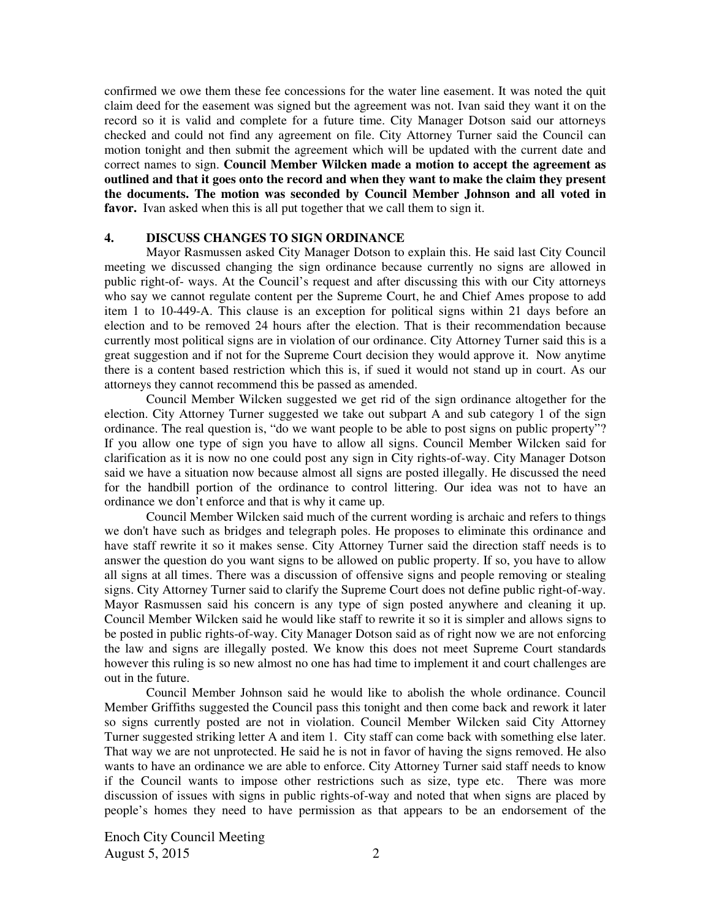confirmed we owe them these fee concessions for the water line easement. It was noted the quit claim deed for the easement was signed but the agreement was not. Ivan said they want it on the record so it is valid and complete for a future time. City Manager Dotson said our attorneys checked and could not find any agreement on file. City Attorney Turner said the Council can motion tonight and then submit the agreement which will be updated with the current date and correct names to sign. **Council Member Wilcken made a motion to accept the agreement as outlined and that it goes onto the record and when they want to make the claim they present the documents. The motion was seconded by Council Member Johnson and all voted in favor.** Ivan asked when this is all put together that we call them to sign it.

#### **4. DISCUSS CHANGES TO SIGN ORDINANCE**

Mayor Rasmussen asked City Manager Dotson to explain this. He said last City Council meeting we discussed changing the sign ordinance because currently no signs are allowed in public right-of- ways. At the Council's request and after discussing this with our City attorneys who say we cannot regulate content per the Supreme Court, he and Chief Ames propose to add item 1 to 10-449-A. This clause is an exception for political signs within 21 days before an election and to be removed 24 hours after the election. That is their recommendation because currently most political signs are in violation of our ordinance. City Attorney Turner said this is a great suggestion and if not for the Supreme Court decision they would approve it. Now anytime there is a content based restriction which this is, if sued it would not stand up in court. As our attorneys they cannot recommend this be passed as amended.

Council Member Wilcken suggested we get rid of the sign ordinance altogether for the election. City Attorney Turner suggested we take out subpart A and sub category 1 of the sign ordinance. The real question is, "do we want people to be able to post signs on public property"? If you allow one type of sign you have to allow all signs. Council Member Wilcken said for clarification as it is now no one could post any sign in City rights-of-way. City Manager Dotson said we have a situation now because almost all signs are posted illegally. He discussed the need for the handbill portion of the ordinance to control littering. Our idea was not to have an ordinance we don't enforce and that is why it came up.

Council Member Wilcken said much of the current wording is archaic and refers to things we don't have such as bridges and telegraph poles. He proposes to eliminate this ordinance and have staff rewrite it so it makes sense. City Attorney Turner said the direction staff needs is to answer the question do you want signs to be allowed on public property. If so, you have to allow all signs at all times. There was a discussion of offensive signs and people removing or stealing signs. City Attorney Turner said to clarify the Supreme Court does not define public right-of-way. Mayor Rasmussen said his concern is any type of sign posted anywhere and cleaning it up. Council Member Wilcken said he would like staff to rewrite it so it is simpler and allows signs to be posted in public rights-of-way. City Manager Dotson said as of right now we are not enforcing the law and signs are illegally posted. We know this does not meet Supreme Court standards however this ruling is so new almost no one has had time to implement it and court challenges are out in the future.

Council Member Johnson said he would like to abolish the whole ordinance. Council Member Griffiths suggested the Council pass this tonight and then come back and rework it later so signs currently posted are not in violation. Council Member Wilcken said City Attorney Turner suggested striking letter A and item 1. City staff can come back with something else later. That way we are not unprotected. He said he is not in favor of having the signs removed. He also wants to have an ordinance we are able to enforce. City Attorney Turner said staff needs to know if the Council wants to impose other restrictions such as size, type etc.There was more discussion of issues with signs in public rights-of-way and noted that when signs are placed by people's homes they need to have permission as that appears to be an endorsement of the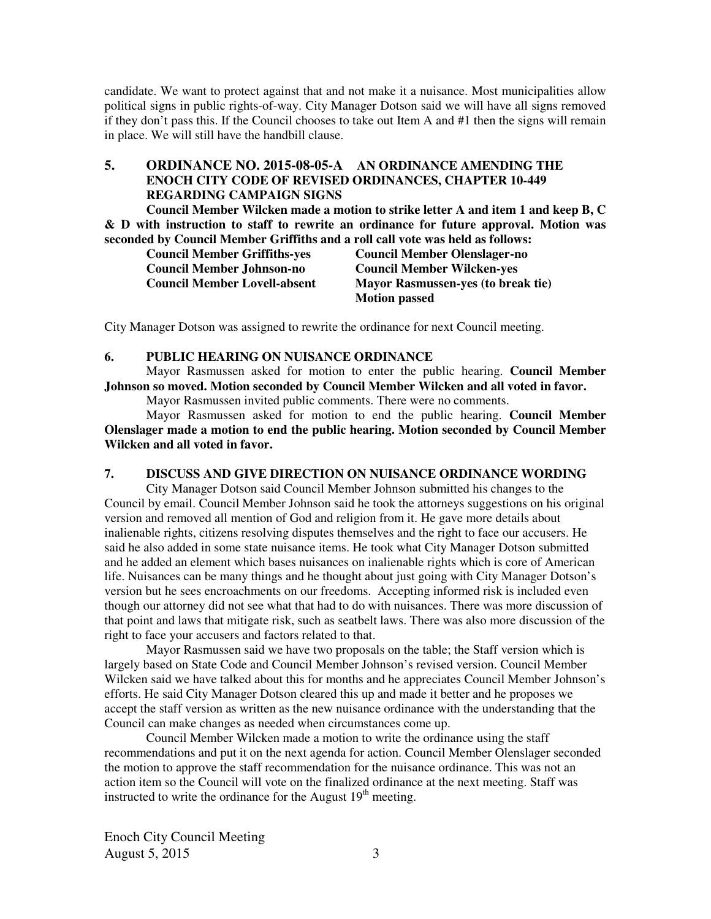candidate. We want to protect against that and not make it a nuisance. Most municipalities allow political signs in public rights-of-way. City Manager Dotson said we will have all signs removed if they don't pass this. If the Council chooses to take out Item A and #1 then the signs will remain in place. We will still have the handbill clause.

## **5. ORDINANCE NO. 2015-08-05-A AN ORDINANCE AMENDING THE ENOCH CITY CODE OF REVISED ORDINANCES, CHAPTER 10-449 REGARDING CAMPAIGN SIGNS**

**Council Member Wilcken made a motion to strike letter A and item 1 and keep B, C & D with instruction to staff to rewrite an ordinance for future approval. Motion was seconded by Council Member Griffiths and a roll call vote was held as follows:** 

| <b>Council Member Griffiths-yes</b> | <b>Council Member Olenslager-no</b>       |
|-------------------------------------|-------------------------------------------|
| <b>Council Member Johnson-no</b>    | <b>Council Member Wilcken-yes</b>         |
| <b>Council Member Lovell-absent</b> | <b>Mayor Rasmussen-yes (to break tie)</b> |
|                                     | <b>Motion passed</b>                      |

City Manager Dotson was assigned to rewrite the ordinance for next Council meeting.

#### **6. PUBLIC HEARING ON NUISANCE ORDINANCE**

Mayor Rasmussen asked for motion to enter the public hearing. **Council Member Johnson so moved. Motion seconded by Council Member Wilcken and all voted in favor.** 

Mayor Rasmussen invited public comments. There were no comments.

Mayor Rasmussen asked for motion to end the public hearing. **Council Member Olenslager made a motion to end the public hearing. Motion seconded by Council Member Wilcken and all voted in favor.** 

#### **7. DISCUSS AND GIVE DIRECTION ON NUISANCE ORDINANCE WORDING**

City Manager Dotson said Council Member Johnson submitted his changes to the Council by email. Council Member Johnson said he took the attorneys suggestions on his original version and removed all mention of God and religion from it. He gave more details about inalienable rights, citizens resolving disputes themselves and the right to face our accusers. He said he also added in some state nuisance items. He took what City Manager Dotson submitted and he added an element which bases nuisances on inalienable rights which is core of American life. Nuisances can be many things and he thought about just going with City Manager Dotson's version but he sees encroachments on our freedoms. Accepting informed risk is included even though our attorney did not see what that had to do with nuisances. There was more discussion of that point and laws that mitigate risk, such as seatbelt laws. There was also more discussion of the right to face your accusers and factors related to that.

Mayor Rasmussen said we have two proposals on the table; the Staff version which is largely based on State Code and Council Member Johnson's revised version. Council Member Wilcken said we have talked about this for months and he appreciates Council Member Johnson's efforts. He said City Manager Dotson cleared this up and made it better and he proposes we accept the staff version as written as the new nuisance ordinance with the understanding that the Council can make changes as needed when circumstances come up.

 Council Member Wilcken made a motion to write the ordinance using the staff recommendations and put it on the next agenda for action. Council Member Olenslager seconded the motion to approve the staff recommendation for the nuisance ordinance. This was not an action item so the Council will vote on the finalized ordinance at the next meeting. Staff was instructed to write the ordinance for the August  $19<sup>th</sup>$  meeting.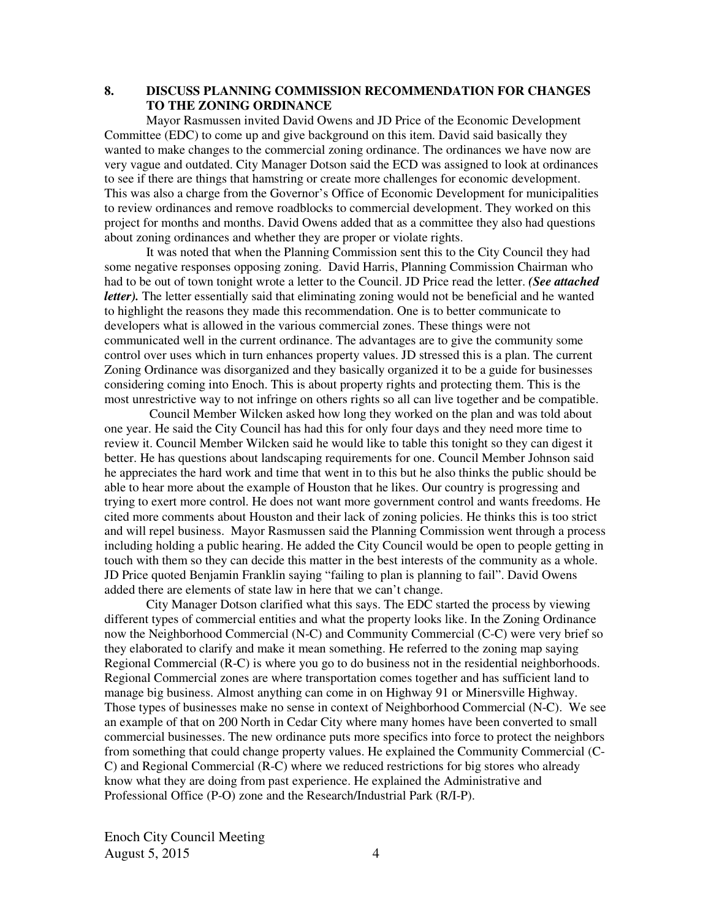#### **8. DISCUSS PLANNING COMMISSION RECOMMENDATION FOR CHANGES TO THE ZONING ORDINANCE**

Mayor Rasmussen invited David Owens and JD Price of the Economic Development Committee (EDC) to come up and give background on this item. David said basically they wanted to make changes to the commercial zoning ordinance. The ordinances we have now are very vague and outdated. City Manager Dotson said the ECD was assigned to look at ordinances to see if there are things that hamstring or create more challenges for economic development. This was also a charge from the Governor's Office of Economic Development for municipalities to review ordinances and remove roadblocks to commercial development. They worked on this project for months and months. David Owens added that as a committee they also had questions about zoning ordinances and whether they are proper or violate rights.

It was noted that when the Planning Commission sent this to the City Council they had some negative responses opposing zoning. David Harris, Planning Commission Chairman who had to be out of town tonight wrote a letter to the Council. JD Price read the letter. *(See attached letter*). The letter essentially said that eliminating zoning would not be beneficial and he wanted to highlight the reasons they made this recommendation. One is to better communicate to developers what is allowed in the various commercial zones. These things were not communicated well in the current ordinance. The advantages are to give the community some control over uses which in turn enhances property values. JD stressed this is a plan. The current Zoning Ordinance was disorganized and they basically organized it to be a guide for businesses considering coming into Enoch. This is about property rights and protecting them. This is the most unrestrictive way to not infringe on others rights so all can live together and be compatible.

Council Member Wilcken asked how long they worked on the plan and was told about one year. He said the City Council has had this for only four days and they need more time to review it. Council Member Wilcken said he would like to table this tonight so they can digest it better. He has questions about landscaping requirements for one. Council Member Johnson said he appreciates the hard work and time that went in to this but he also thinks the public should be able to hear more about the example of Houston that he likes. Our country is progressing and trying to exert more control. He does not want more government control and wants freedoms. He cited more comments about Houston and their lack of zoning policies. He thinks this is too strict and will repel business. Mayor Rasmussen said the Planning Commission went through a process including holding a public hearing. He added the City Council would be open to people getting in touch with them so they can decide this matter in the best interests of the community as a whole. JD Price quoted Benjamin Franklin saying "failing to plan is planning to fail". David Owens added there are elements of state law in here that we can't change.

City Manager Dotson clarified what this says. The EDC started the process by viewing different types of commercial entities and what the property looks like. In the Zoning Ordinance now the Neighborhood Commercial (N-C) and Community Commercial (C-C) were very brief so they elaborated to clarify and make it mean something. He referred to the zoning map saying Regional Commercial (R-C) is where you go to do business not in the residential neighborhoods. Regional Commercial zones are where transportation comes together and has sufficient land to manage big business. Almost anything can come in on Highway 91 or Minersville Highway. Those types of businesses make no sense in context of Neighborhood Commercial (N-C). We see an example of that on 200 North in Cedar City where many homes have been converted to small commercial businesses. The new ordinance puts more specifics into force to protect the neighbors from something that could change property values. He explained the Community Commercial (C-C) and Regional Commercial (R-C) where we reduced restrictions for big stores who already know what they are doing from past experience. He explained the Administrative and Professional Office (P-O) zone and the Research/Industrial Park (R/I-P).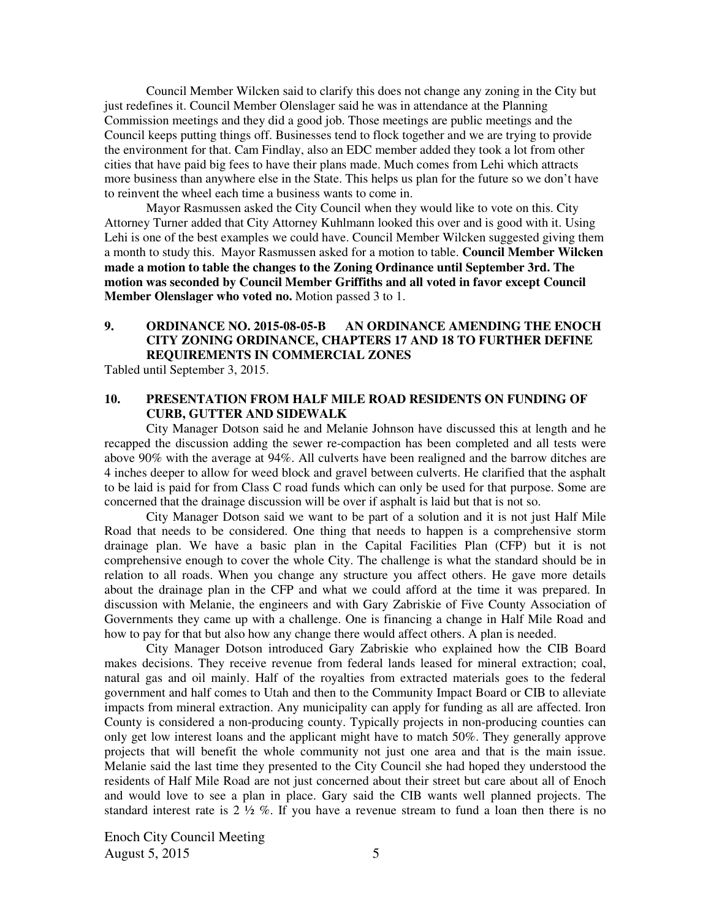Council Member Wilcken said to clarify this does not change any zoning in the City but just redefines it. Council Member Olenslager said he was in attendance at the Planning Commission meetings and they did a good job. Those meetings are public meetings and the Council keeps putting things off. Businesses tend to flock together and we are trying to provide the environment for that. Cam Findlay, also an EDC member added they took a lot from other cities that have paid big fees to have their plans made. Much comes from Lehi which attracts more business than anywhere else in the State. This helps us plan for the future so we don't have to reinvent the wheel each time a business wants to come in.

Mayor Rasmussen asked the City Council when they would like to vote on this. City Attorney Turner added that City Attorney Kuhlmann looked this over and is good with it. Using Lehi is one of the best examples we could have. Council Member Wilcken suggested giving them a month to study this. Mayor Rasmussen asked for a motion to table. **Council Member Wilcken made a motion to table the changes to the Zoning Ordinance until September 3rd. The motion was seconded by Council Member Griffiths and all voted in favor except Council Member Olenslager who voted no.** Motion passed 3 to 1.

### **9. ORDINANCE NO. 2015-08-05-B AN ORDINANCE AMENDING THE ENOCH CITY ZONING ORDINANCE, CHAPTERS 17 AND 18 TO FURTHER DEFINE REQUIREMENTS IN COMMERCIAL ZONES**

Tabled until September 3, 2015.

### **10. PRESENTATION FROM HALF MILE ROAD RESIDENTS ON FUNDING OF CURB, GUTTER AND SIDEWALK**

City Manager Dotson said he and Melanie Johnson have discussed this at length and he recapped the discussion adding the sewer re-compaction has been completed and all tests were above 90% with the average at 94%. All culverts have been realigned and the barrow ditches are 4 inches deeper to allow for weed block and gravel between culverts. He clarified that the asphalt to be laid is paid for from Class C road funds which can only be used for that purpose. Some are concerned that the drainage discussion will be over if asphalt is laid but that is not so.

City Manager Dotson said we want to be part of a solution and it is not just Half Mile Road that needs to be considered. One thing that needs to happen is a comprehensive storm drainage plan. We have a basic plan in the Capital Facilities Plan (CFP) but it is not comprehensive enough to cover the whole City. The challenge is what the standard should be in relation to all roads. When you change any structure you affect others. He gave more details about the drainage plan in the CFP and what we could afford at the time it was prepared. In discussion with Melanie, the engineers and with Gary Zabriskie of Five County Association of Governments they came up with a challenge. One is financing a change in Half Mile Road and how to pay for that but also how any change there would affect others. A plan is needed.

City Manager Dotson introduced Gary Zabriskie who explained how the CIB Board makes decisions. They receive revenue from federal lands leased for mineral extraction; coal, natural gas and oil mainly. Half of the royalties from extracted materials goes to the federal government and half comes to Utah and then to the Community Impact Board or CIB to alleviate impacts from mineral extraction. Any municipality can apply for funding as all are affected. Iron County is considered a non-producing county. Typically projects in non-producing counties can only get low interest loans and the applicant might have to match 50%. They generally approve projects that will benefit the whole community not just one area and that is the main issue. Melanie said the last time they presented to the City Council she had hoped they understood the residents of Half Mile Road are not just concerned about their street but care about all of Enoch and would love to see a plan in place. Gary said the CIB wants well planned projects. The standard interest rate is  $2 \frac{1}{2} \%$ . If you have a revenue stream to fund a loan then there is no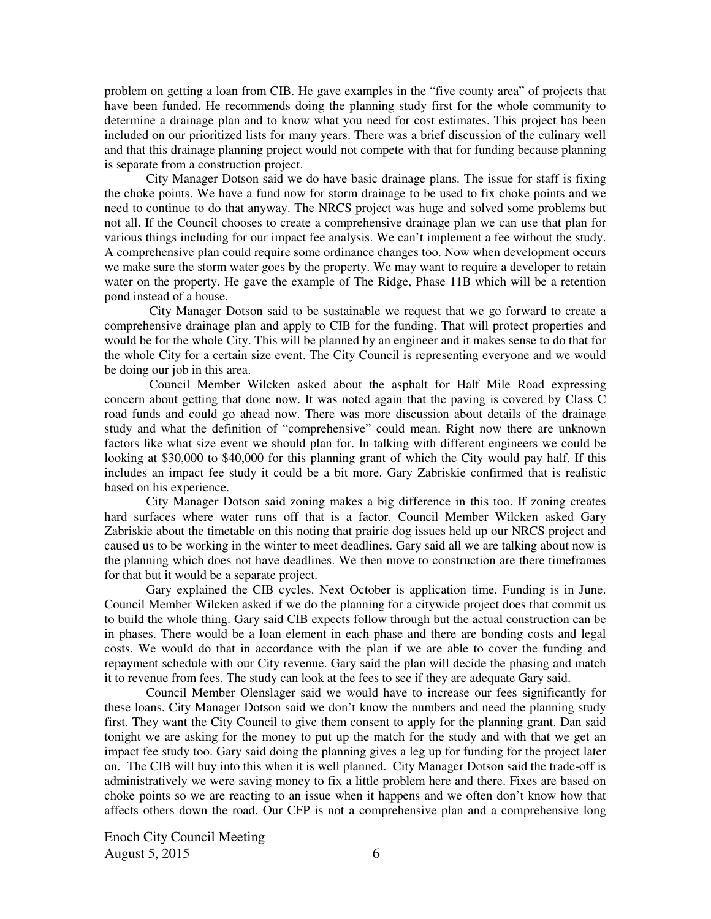problem on getting a loan from CIB. He gave examples in the "five county area" of projects that have been funded. He recommends doing the planning study first for the whole community to determine a drainage plan and to know what you need for cost estimates. This project has been included on our prioritized lists for many years. There was a brief discussion of the culinary well and that this drainage planning project would not compete with that for funding because planning is separate from a construction project.

City Manager Dotson said we do have basic drainage plans. The issue for staff is fixing the choke points. We have a fund now for storm drainage to be used to fix choke points and we need to continue to do that anyway. The NRCS project was huge and solved some problems but not all. If the Council chooses to create a comprehensive drainage plan we can use that plan for various things including for our impact fee analysis. We can't implement a fee without the study. A comprehensive plan could require some ordinance changes too. Now when development occurs we make sure the storm water goes by the property. We may want to require a developer to retain water on the property. He gave the example of The Ridge, Phase 11B which will be a retention pond instead of a house.

 City Manager Dotson said to be sustainable we request that we go forward to create a comprehensive drainage plan and apply to CIB for the funding. That will protect properties and would be for the whole City. This will be planned by an engineer and it makes sense to do that for the whole City for a certain size event. The City Council is representing everyone and we would be doing our job in this area.

 Council Member Wilcken asked about the asphalt for Half Mile Road expressing concern about getting that done now. It was noted again that the paving is covered by Class C road funds and could go ahead now. There was more discussion about details of the drainage study and what the definition of "comprehensive" could mean. Right now there are unknown factors like what size event we should plan for. In talking with different engineers we could be looking at \$30,000 to \$40,000 for this planning grant of which the City would pay half. If this includes an impact fee study it could be a bit more. Gary Zabriskie confirmed that is realistic based on his experience.

City Manager Dotson said zoning makes a big difference in this too. If zoning creates hard surfaces where water runs off that is a factor. Council Member Wilcken asked Gary Zabriskie about the timetable on this noting that prairie dog issues held up our NRCS project and caused us to be working in the winter to meet deadlines. Gary said all we are talking about now is the planning which does not have deadlines. We then move to construction are there timeframes for that but it would be a separate project.

Gary explained the CIB cycles. Next October is application time. Funding is in June. Council Member Wilcken asked if we do the planning for a citywide project does that commit us to build the whole thing. Gary said CIB expects follow through but the actual construction can be in phases. There would be a loan element in each phase and there are bonding costs and legal costs. We would do that in accordance with the plan if we are able to cover the funding and repayment schedule with our City revenue. Gary said the plan will decide the phasing and match it to revenue from fees. The study can look at the fees to see if they are adequate Gary said.

Council Member Olenslager said we would have to increase our fees significantly for these loans. City Manager Dotson said we don't know the numbers and need the planning study first. They want the City Council to give them consent to apply for the planning grant. Dan said tonight we are asking for the money to put up the match for the study and with that we get an impact fee study too. Gary said doing the planning gives a leg up for funding for the project later on. The CIB will buy into this when it is well planned. City Manager Dotson said the trade-off is administratively we were saving money to fix a little problem here and there. Fixes are based on choke points so we are reacting to an issue when it happens and we often don't know how that affects others down the road. Our CFP is not a comprehensive plan and a comprehensive long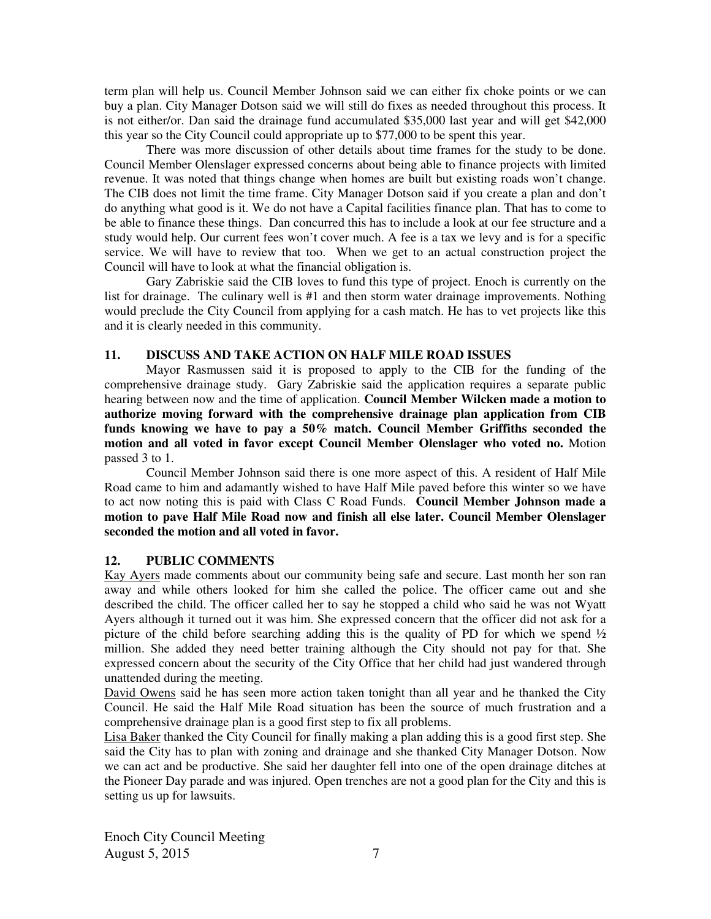term plan will help us. Council Member Johnson said we can either fix choke points or we can buy a plan. City Manager Dotson said we will still do fixes as needed throughout this process. It is not either/or. Dan said the drainage fund accumulated \$35,000 last year and will get \$42,000 this year so the City Council could appropriate up to \$77,000 to be spent this year.

There was more discussion of other details about time frames for the study to be done. Council Member Olenslager expressed concerns about being able to finance projects with limited revenue. It was noted that things change when homes are built but existing roads won't change. The CIB does not limit the time frame. City Manager Dotson said if you create a plan and don't do anything what good is it. We do not have a Capital facilities finance plan. That has to come to be able to finance these things. Dan concurred this has to include a look at our fee structure and a study would help. Our current fees won't cover much. A fee is a tax we levy and is for a specific service. We will have to review that too. When we get to an actual construction project the Council will have to look at what the financial obligation is.

Gary Zabriskie said the CIB loves to fund this type of project. Enoch is currently on the list for drainage. The culinary well is #1 and then storm water drainage improvements. Nothing would preclude the City Council from applying for a cash match. He has to vet projects like this and it is clearly needed in this community.

#### **11. DISCUSS AND TAKE ACTION ON HALF MILE ROAD ISSUES**

Mayor Rasmussen said it is proposed to apply to the CIB for the funding of the comprehensive drainage study. Gary Zabriskie said the application requires a separate public hearing between now and the time of application. **Council Member Wilcken made a motion to authorize moving forward with the comprehensive drainage plan application from CIB funds knowing we have to pay a 50% match. Council Member Griffiths seconded the motion and all voted in favor except Council Member Olenslager who voted no.** Motion passed 3 to 1.

Council Member Johnson said there is one more aspect of this. A resident of Half Mile Road came to him and adamantly wished to have Half Mile paved before this winter so we have to act now noting this is paid with Class C Road Funds. **Council Member Johnson made a motion to pave Half Mile Road now and finish all else later. Council Member Olenslager seconded the motion and all voted in favor.** 

## **12. PUBLIC COMMENTS**

Kay Ayers made comments about our community being safe and secure. Last month her son ran away and while others looked for him she called the police. The officer came out and she described the child. The officer called her to say he stopped a child who said he was not Wyatt Ayers although it turned out it was him. She expressed concern that the officer did not ask for a picture of the child before searching adding this is the quality of PD for which we spend  $\frac{1}{2}$ million. She added they need better training although the City should not pay for that. She expressed concern about the security of the City Office that her child had just wandered through unattended during the meeting.

David Owens said he has seen more action taken tonight than all year and he thanked the City Council. He said the Half Mile Road situation has been the source of much frustration and a comprehensive drainage plan is a good first step to fix all problems.

Lisa Baker thanked the City Council for finally making a plan adding this is a good first step. She said the City has to plan with zoning and drainage and she thanked City Manager Dotson. Now we can act and be productive. She said her daughter fell into one of the open drainage ditches at the Pioneer Day parade and was injured. Open trenches are not a good plan for the City and this is setting us up for lawsuits.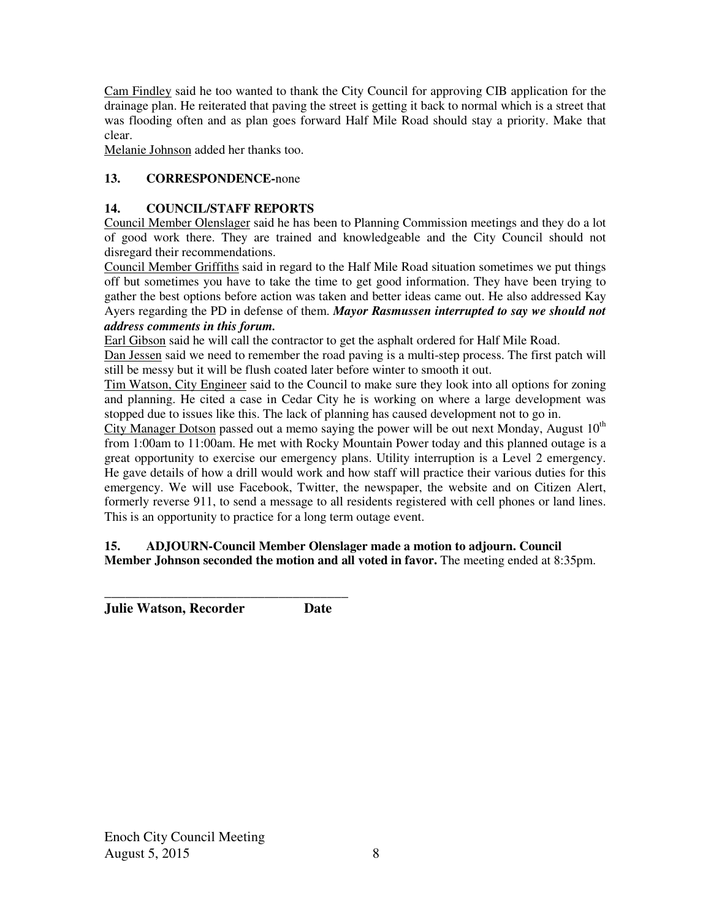Cam Findley said he too wanted to thank the City Council for approving CIB application for the drainage plan. He reiterated that paving the street is getting it back to normal which is a street that was flooding often and as plan goes forward Half Mile Road should stay a priority. Make that clear.

Melanie Johnson added her thanks too.

# **13. CORRESPONDENCE-**none

## **14. COUNCIL/STAFF REPORTS**

Council Member Olenslager said he has been to Planning Commission meetings and they do a lot of good work there. They are trained and knowledgeable and the City Council should not disregard their recommendations.

Council Member Griffiths said in regard to the Half Mile Road situation sometimes we put things off but sometimes you have to take the time to get good information. They have been trying to gather the best options before action was taken and better ideas came out. He also addressed Kay Ayers regarding the PD in defense of them. *Mayor Rasmussen interrupted to say we should not address comments in this forum.* 

Earl Gibson said he will call the contractor to get the asphalt ordered for Half Mile Road.

Dan Jessen said we need to remember the road paving is a multi-step process. The first patch will still be messy but it will be flush coated later before winter to smooth it out.

Tim Watson, City Engineer said to the Council to make sure they look into all options for zoning and planning. He cited a case in Cedar City he is working on where a large development was stopped due to issues like this. The lack of planning has caused development not to go in.

City Manager Dotson passed out a memo saying the power will be out next Monday, August  $10<sup>th</sup>$ from 1:00am to 11:00am. He met with Rocky Mountain Power today and this planned outage is a great opportunity to exercise our emergency plans. Utility interruption is a Level 2 emergency. He gave details of how a drill would work and how staff will practice their various duties for this emergency. We will use Facebook, Twitter, the newspaper, the website and on Citizen Alert, formerly reverse 911, to send a message to all residents registered with cell phones or land lines. This is an opportunity to practice for a long term outage event.

## **15. ADJOURN-Council Member Olenslager made a motion to adjourn. Council Member Johnson seconded the motion and all voted in favor.** The meeting ended at 8:35pm.

**\_\_\_\_\_\_\_\_\_\_\_\_\_\_\_\_\_\_\_\_\_\_\_\_\_\_\_\_\_\_\_\_\_\_\_ Julie Watson, Recorder Date**